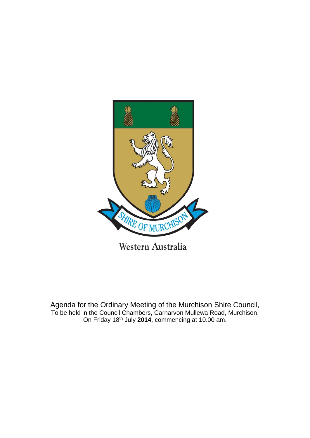

Agenda for the Ordinary Meeting of the Murchison Shire Council, To be held in the Council Chambers, Carnarvon Mullewa Road, Murchison, On Friday 18th July **2014**, commencing at 10.00 am.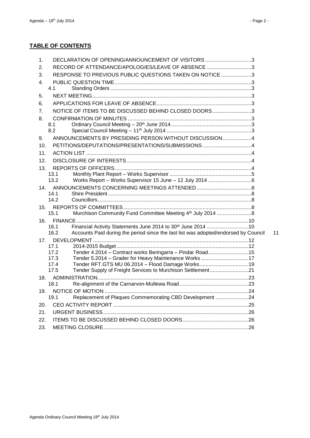## **TABLE OF CONTENTS**

| 1.  | DECLARATION OF OPENING/ANNOUNCEMENT OF VISITORS 3                                           |    |
|-----|---------------------------------------------------------------------------------------------|----|
| 2.  | RECORD OF ATTENDANCE/APOLOGIES/LEAVE OF ABSENCE 3                                           |    |
| 3.  | RESPONSE TO PREVIOUS PUBLIC QUESTIONS TAKEN ON NOTICE 3                                     |    |
| 4.  |                                                                                             |    |
|     | 4.1                                                                                         |    |
| 5.  |                                                                                             |    |
| 6.  |                                                                                             |    |
| 7.  | NOTICE OF ITEMS TO BE DISCUSSED BEHIND CLOSED DOORS3                                        |    |
| 8.  |                                                                                             |    |
|     | 8.1                                                                                         |    |
|     | 8.2                                                                                         |    |
| 9.  | ANNOUNCEMENTS BY PRESIDING PERSON WITHOUT DISCUSSION4                                       |    |
| 10. |                                                                                             |    |
| 11. |                                                                                             |    |
| 12. |                                                                                             |    |
| 13. |                                                                                             |    |
|     | 13.1                                                                                        |    |
|     | 13.2                                                                                        |    |
| 14. |                                                                                             |    |
|     | 14.1                                                                                        |    |
|     | 14.2                                                                                        |    |
| 15. |                                                                                             |    |
|     | Murchison Community Fund Committee Meeting 4th July 2014 8<br>15.1                          |    |
| 16. | Financial Activity Statements June 2014 to 30 <sup>th</sup> June 2014 10<br>16.1            |    |
|     | 16.2<br>Accounts Paid during the period since the last list was adopted/endorsed by Council | 11 |
| 17. |                                                                                             |    |
|     | 17.1                                                                                        |    |
|     | 17.2<br>Tender 4.2014 - Contract works Beringarra - Pindar Road15                           |    |
|     | Tender 5.2014 - Grader for Heavy Maintenance Works 17<br>17.3                               |    |
|     | Tender RFT.GTS MU 06.2014 - Flood Damage Works19<br>17.4                                    |    |
|     | 17.5<br>Tender Supply of Freight Services to Murchison Settlement21                         |    |
|     |                                                                                             |    |
|     | 18.1                                                                                        |    |
| 19. | Replacement of Plaques Commemorating CBD Development 24<br>19.1                             |    |
|     |                                                                                             |    |
| 20. |                                                                                             |    |
| 21. |                                                                                             |    |
| 22. |                                                                                             |    |
| 23. |                                                                                             |    |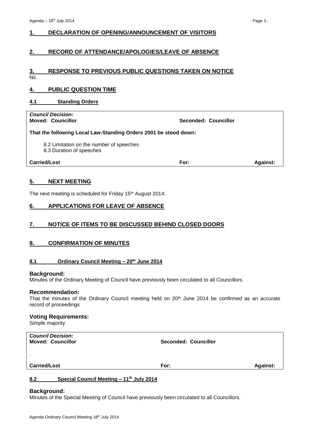## <span id="page-2-0"></span>**1. DECLARATION OF OPENING/ANNOUNCEMENT OF VISITORS**

## <span id="page-2-1"></span>**2. RECORD OF ATTENDANCE/APOLOGIES/LEAVE OF ABSENCE**

## <span id="page-2-2"></span>**3. RESPONSE TO PREVIOUS PUBLIC QUESTIONS TAKEN ON NOTICE**

Nil.

## <span id="page-2-3"></span>**4. PUBLIC QUESTION TIME**

## <span id="page-2-4"></span>**4.1 Standing Orders**

| <b>Council Decision:</b><br><b>Moved: Councillor</b>                 | Seconded: Councillor |                 |
|----------------------------------------------------------------------|----------------------|-----------------|
| That the following Local Law-Standing Orders 2001 be stood down:     |                      |                 |
| 8.2 Limitation on the number of speeches<br>8.3 Duration of speeches |                      |                 |
| <b>Carried/Lost</b>                                                  | For:                 | <b>Against:</b> |

## <span id="page-2-5"></span>**5. NEXT MEETING**

The next meeting is scheduled for Friday 15<sup>th</sup> August 2014.

## <span id="page-2-6"></span>**6. APPLICATIONS FOR LEAVE OF ABSENCE**

## <span id="page-2-7"></span>**7. NOTICE OF ITEMS TO BE DISCUSSED BEHIND CLOSED DOORS**

## <span id="page-2-8"></span>**8. CONFIRMATION OF MINUTES**

## <span id="page-2-9"></span>**8.1 Ordinary Council Meeting – 20th June 2014**

#### **Background:**

Minutes of the Ordinary Meeting of Council have previously been circulated to all Councillors.

#### **Recommendation:**

That the minutes of the Ordinary Council meeting held on  $20^{th}$  June 2014 be confirmed as an accurate record of proceedings

## **Voting Requirements:**

Simple majority

| <b>Carried/Lost</b>                                  | For:                        | <b>Against:</b> |
|------------------------------------------------------|-----------------------------|-----------------|
| $\mathbf{r}$                                         |                             |                 |
| <b>Council Decision:</b><br><b>Moved: Councillor</b> | <b>Seconded: Councillor</b> |                 |

## <span id="page-2-10"></span>**8.2 Special Council Meeting – 11th July 2014**

#### **Background:**

Minutes of the Special Meeting of Council have previously been circulated to all Councillors.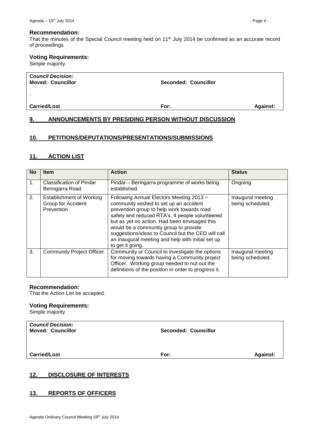#### **Recommendation:**

That the minutes of the Special Council meeting held on 11<sup>th</sup> July 2014 be confirmed as an accurate record of proceedings

## **Voting Requirements:**

Simple majority

| <b>Carried/Lost</b>                                  | For:                        | <b>Against:</b> |
|------------------------------------------------------|-----------------------------|-----------------|
| $\mathbf{r}$                                         |                             |                 |
| <b>Council Decision:</b><br><b>Moved: Councillor</b> | <b>Seconded: Councillor</b> |                 |

## <span id="page-3-0"></span>**9. ANNOUNCEMENTS BY PRESIDING PERSON WITHOUT DISCUSSION**

## <span id="page-3-1"></span>**10. PETITIONS/DEPUTATIONS/PRESENTATIONS/SUBMISSIONS**

## <span id="page-3-2"></span>**11. ACTION LIST**

| <b>No</b>      | <b>Item</b>                                                         | <b>Action</b>                                                                                                                                                                                                                                                                                                                                                                                               | <b>Status</b>                         |
|----------------|---------------------------------------------------------------------|-------------------------------------------------------------------------------------------------------------------------------------------------------------------------------------------------------------------------------------------------------------------------------------------------------------------------------------------------------------------------------------------------------------|---------------------------------------|
| 1 <sub>1</sub> | <b>Classification of Pindar</b><br>Beringarra Road                  | Pindar – Beringarra programme of works being<br>established.                                                                                                                                                                                                                                                                                                                                                | Ongoing                               |
| 2.             | <b>Establishment of Working</b><br>Group for Accident<br>Prevention | Following Annual Electors Meeting 2013 -<br>community wished to set up an accident<br>prevention group to help work towards road<br>safety and reduced RTA's. 4 people volunteered<br>but as yet no action. Had been envisaged this<br>would be a community group to provide<br>suggestions/ideas to Council but the CEO will call<br>an inaugural meeting and help with initial set up<br>to get it going. | Inaugural meeting<br>being scheduled. |
| 3.             | <b>Community Project Officer</b>                                    | Community or Council to investigate the options<br>for moving towards having a Community project<br>Officer. Working group needed to nut out the<br>definitions of the position in order to progress it.                                                                                                                                                                                                    | Inaugural meeting<br>being scheduled. |

## **Recommendation:**

That the Action List be accepted.

## **Voting Requirements:**

Simple majority

| <b>Council Decision:</b><br><b>Moved: Councillor</b> | <b>Seconded: Councillor</b> |                 |
|------------------------------------------------------|-----------------------------|-----------------|
| <b>Carried/Lost</b>                                  | For:                        | <b>Against:</b> |

## <span id="page-3-3"></span>**12. DISCLOSURE OF INTERESTS**

## <span id="page-3-4"></span>**13. REPORTS OF OFFICERS**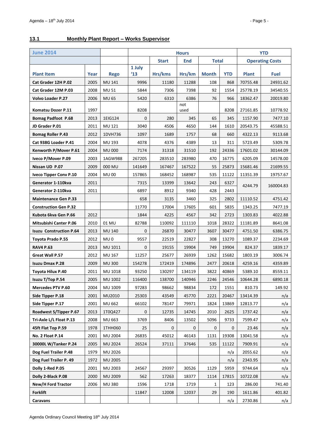## <span id="page-4-0"></span>**13.1 Monthly Plant Report – Works Supervisor**

| <b>June 2014</b>               |      |                 | <b>Hours</b>            |                                            |             |              |            | <b>YTD</b>             |             |
|--------------------------------|------|-----------------|-------------------------|--------------------------------------------|-------------|--------------|------------|------------------------|-------------|
|                                |      |                 |                         | <b>Total</b><br><b>Start</b><br><b>End</b> |             |              |            | <b>Operating Costs</b> |             |
| <b>Plant Item</b>              | Year | <b>Rego</b>     | 1 July<br>$^{\prime}13$ | Hrs/kms                                    | Hrs/km      | <b>Month</b> | <b>YTD</b> | <b>Plant</b>           | <b>Fuel</b> |
| Cat Grader 12H P.02            | 2005 | MU 141          | 9996                    | 11180                                      | 11288       | 108          | 868        | 70755.48               | 24931.62    |
| Cat Grader 12M P.03            | 2008 | <b>MU 51</b>    | 5844                    | 7306                                       | 7398        | 92           | 1554       | 25778.19               | 34540.55    |
| <b>Volvo Loader P.27</b>       | 2006 | <b>MU 65</b>    | 5420                    | 6310                                       | 6386        | 76           | 966        | 18362.47               | 20019.80    |
|                                |      |                 |                         |                                            | not         |              |            |                        |             |
| Komatsu Dozer P.11             | 1997 |                 | 8208                    |                                            | used        |              | 8208       | 27161.85               | 10778.92    |
| <b>Bomag Padfoot P.68</b>      | 2013 | 1EIG124         | $\mathbf 0$             | 280                                        | 345         | 65           | 345        | 1157.90                | 7477.10     |
| JD Grader P.01                 | 2011 | MU 121          | 3040                    | 4506                                       | 4650        | 144          | 1610       | 20543.75               | 45588.51    |
| <b>Bomag Roller P.43</b>       | 2012 | 1DVH736         | 1097                    | 1689                                       | 1757        | 68           | 660        | 4322.13                | 9113.68     |
| Cat 938G Loader P.41           | 2004 | MU 193          | 4078                    | 4376                                       | 4389        | 13           | 311        | 5723.49                | 5309.78     |
| Kenworth P/Mover P.61          | 2004 | <b>MU 000</b>   | 7174                    | 31318                                      | 31510       | 192          | 24336      | 17601.02               | 30144.09    |
| Iveco P/Mover P.09             | 2003 | 1AGW988         | 267205                  | 283510                                     | 283980      | 470          | 16775      | 6205.09                | 14578.00    |
| Nissan UD P.07                 | 2009 | 000 MU          | 141649                  | 167467                                     | 167522      | 55           | 25873      | 15681.46               | 21699.55    |
| <b>Iveco Tipper Conv P.10</b>  | 2004 | <b>MU00</b>     | 157865                  | 168452                                     | 168987      | 535          | 11122      | 11351.39               | 19757.67    |
| Generator 1-110kva             | 2011 |                 | 7315                    | 13399                                      | 13642       | 243          | 6327       | 4244.79                | 160004.83   |
| Generator 2-110kva             | 2011 |                 | 6897                    | 8912                                       | 9340        | 428          | 2443       |                        |             |
| <b>Maintenance Gen P.33</b>    |      |                 | 658                     | 3135                                       | 3460        | 325          | 2802       | 11110.52               | 4751.42     |
| <b>Construction Gen P.32</b>   |      |                 | 11770                   | 17004                                      | 17605       | 601          | 5835       | 1343.25                | 7477.19     |
| Kubota 6kva Gen P.66           | 2012 |                 | 1844                    | 4225                                       | 4567        | 342          | 2723       | 1303.83                | 4022.88     |
| <b>Mitsubishi Canter P.06</b>  | 2010 | 01 MU           | 82788                   | 110092                                     | 111110      | 1018         | 28322      | 11181.89               | 8641.08     |
| <b>Isuzu Construction P.64</b> | 2013 | <b>MU 140</b>   | $\mathbf 0$             | 26870                                      | 30477       | 3607         | 30477      | 4751.50                | 6386.75     |
| Toyota Prado P.55              | 2012 | MU <sub>0</sub> | 9557                    | 22519                                      | 22827       | 308          | 13270      | 1089.37                | 2234.69     |
| <b>RAV4 P.63</b>               | 2013 | MU 1011         | $\mathbf 0$             | 19155                                      | 19904       | 749          | 19904      | 824.37                 | 1839.17     |
| <b>Great Wall P.57</b>         | 2012 | MU 167          | 11257                   | 25677                                      | 26939       | 1262         | 15682      | 1803.19                | 3006.74     |
| <b>Isuzu Dmax P.28</b>         | 2009 | <b>MU300</b>    | 154278                  | 172419                                     | 174896      | 2477         | 20618      | 4259.16                | 4359.89     |
| Toyota Hilux P.40              | 2011 | MU 1018         | 93250                   | 130297                                     | 134119      | 3822         | 40869      | 5389.10                | 8559.11     |
| Isuzu T/Top P.54               | 2005 | MU 1002         | 116400                  | 138700                                     | 140946      | 2246         | 24546      | 10644.28               | 6890.18     |
| <b>Mercedes PTV P.60</b>       | 2004 | MU 1009         | 97283                   | 98662                                      | 98834       | 172          | 1551       | 810.73                 | 149.92      |
| Side Tipper P.18               | 2001 | MU2010          | 25303                   | 43549                                      | 45770       | 2221         | 20467      | 13414.39               | n/a         |
| Side Tipper P.17               | 2001 | MU 662          | 66102                   | 78147                                      | 79971       | 1824         | 13869      | 12813.77               | n/a         |
| Roadwest S/Tipper P.67         | 2013 | 1T0Q427         | 0                       | 12735                                      | 14745       | 2010         | 2625       | 1737.42                | n/a         |
| Tri-Axle L/L Float P.13        | 2008 | MU 663          | 3769                    | 8406                                       | 13502       | 5096         | 9733       | 7599.47                | n/a         |
| 45ft Flat Top P.59             | 1978 | 1THH060         | 25                      | 0                                          | $\mathbf 0$ | 0            | 0          | 23.46                  | n/a         |
| <b>No. 2 Float P.14</b>        | 2001 | MU 2004         | 26835                   | 45012                                      | 46143       | 1131         | 19308      | 13041.58               | n/a         |
| 30000L W/Tanker P.24           | 2005 | MU 2024         | 26524                   | 37111                                      | 37646       | 535          | 11122      | 7909.91                | n/a         |
| Dog Fuel Trailer P.48          | 1979 | MU 2026         |                         |                                            |             |              | n/a        | 2055.62                | n/a         |
| Dog Fuel Trailer P. 49         | 1972 | MU 2005         |                         |                                            |             |              | n/a        | 2343.95                | n/a         |
| Dolly 1-Red P.05               | 2001 | MU 2003         | 24567                   | 29397                                      | 30526       | 1129         | 5959       | 9744.64                | n/a         |
| Dolly 2-Black P.08             | 2000 | MU 2009         | 562                     | 17263                                      | 18377       | 1114         | 17815      | 10722.08               | n/a         |
| <b>New/H Ford Tractor</b>      | 2006 | <b>MU380</b>    | 1596                    | 1718                                       | 1719        | 1            | 123        | 286.00                 | 741.40      |
| <b>Forklift</b>                |      |                 | 11847                   | 12008                                      | 12037       | 29           | 190        | 1611.86                | 401.82      |
| Caravans                       |      |                 |                         |                                            |             |              | n/a        | 2730.86                | n/a         |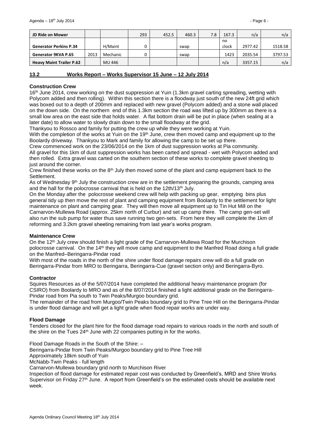| JD Ride on Mower                |      |          | 293 | 452.5 | 460.3 | 7.8 | 167.3 | n/a     | n/a     |
|---------------------------------|------|----------|-----|-------|-------|-----|-------|---------|---------|
|                                 |      |          |     |       |       |     | no    |         |         |
| <b>Generator Perkins P.34</b>   |      | H/Maint  |     |       | swap  |     | clock | 2977.42 | 1518.58 |
| Generator 9KVA P.65             | 2013 | Mechanic |     |       | swap  |     | 1423  | 2035.54 | 3797.53 |
| <b>Heavy Maint Trailer P.62</b> |      | MU 446   |     |       |       |     | n/a   | 3357.15 | n/a     |

## <span id="page-5-0"></span>**13.2 Works Report – Works Supervisor 15 June – 12 July 2014**

## **Construction Crew**

16<sup>th</sup> June 2014, crew working on the dust suppression at Yuin (1.3km gravel carting spreading, wetting with Polycom added and then rolling). Within this section there is a floodway just south of the new 24ft grid which was boxed out to a depth of 200mm and replaced with new gravel (Polycom added) and a stone wall placed on the down side. On the northern end of this 1.3km section the road was lifted up by 300mm as there is a small low area on the east side that holds water. A flat bottom drain will be put in place (when sealing at a later date) to allow water to slowly drain down to the small floodway at the grid.

Thankyou to Rossco and family for putting the crew up while they were working at Yuin.

With the completion of the works at Yuin on the 19<sup>th</sup> June, crew then moved camp and equipment up to the Boolardy driveway. Thankyou to Mark and family for allowing the camp to be set up there.

Crew commenced work on the 23/06/2014 on the 1km of dust suppression works at Pia community. All gravel for this 1km of dust suppression works has been carted and spread - wet with Polycom added and then rolled. Extra gravel was carted on the southern section of these works to complete gravel sheeting to just around the corner.

Crew finished these works on the  $8<sup>th</sup>$  July then moved some of the plant and camp equipment back to the **Settlement** 

As of Wednesday  $9<sup>th</sup>$  July the construction crew are in the settlement preparing the grounds, camping area and the hall for the polocrosse carnival that is held on the 12th/13<sup>th</sup> July.

On the Monday after the polocrosse weekend crew will help with packing up gear, emptying bins plus general tidy up then move the rest of plant and camping equipment from Boolardy to the settlement for light maintenance on plant and camping gear. They will then move all equipment up to Tin Hut Mill on the Carnarvon-Mullewa Road (approx. 25km north of Curbur) and set up camp there. The camp gen-set will also run the sub pump for water thus save running two gen-sets. From here they will complete the 1km of reforming and 3.2km gravel sheeting remaining from last year's works program.

## **Maintenance Crew**

On the 12<sup>th</sup> July crew should finish a light grade of the Carnarvon-Mullewa Road for the Murchison polocrosse carnival. On the 14<sup>th</sup> they will move camp and equipment to the Manfred Road doing a full grade on the Manfred–Beringarra-Pindar road

With most of the roads in the north of the shire under flood damage repairs crew will do a full grade on Beringarra-Pindar from MRO to Beringarra, Beringarra-Cue (gravel section only) and Beringarra-Byro.

## **Contractor**

Squires Resources as of the 5/07/2014 have completed the additional heavy maintenance program (for CSIRO) from Boolardy to MRO and as of the 8/07/2014 finished a light additional grade on the Beringarra-Pindar road from Pia south to Twin Peaks/Murgoo boundary grid.

The remainder of the road from Murgoo/Twin Peaks boundary grid to Pine Tree Hill on the Beringarra-Pindar is under flood damage and will get a light grade when flood repair works are under way.

## **Flood Damage**

Tenders closed for the plant hire for the flood damage road repairs to various roads in the north and south of the shire on the Tues 24<sup>th</sup> June with 22 companies putting in for the works.

Flood Damage Roads in the South of the Shire: –

Beringarra-Pindar from Twin Peaks/Murgoo boundary grid to Pine Tree Hill

Approximately 18km south of Yuin

McNabb-Twin Peaks - full length

Carnarvon-Mullewa boundary grid north to Murchison River

Inspection of flood damage for estimated repair cost was conducted by Greenfield's, MRD and Shire Works Supervisor on Friday  $27<sup>th</sup>$  June. A report from Greenfield's on the estimated costs should be available next week.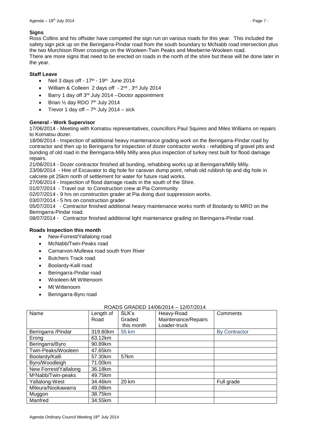## **Signs**

Ross Collins and his offsider have competed the sign run on various roads for this year. This included the safety sign pick up on the Beringarra-Pindar road from the south boundary to McNabb road intersection plus the two Murchison River crossings on the Wooleen-Twin Peaks and Meeberrie-Wooleen road. There are more signs that need to be erected on roads in the north of the shire but these will be done later in the year.

## **Staff Leave**

- Neil 3 days off  $17<sup>th</sup>$   $19<sup>th</sup>$  June 2014
- William & Colleen 2 days off 2<sup>nd</sup>, 3<sup>rd</sup> July 2014
- $\bullet$  Barry 1 day off 3<sup>rd</sup> July 2014 --Doctor appointment
- $\bullet$  Brian  $\frac{1}{2}$  day RDO 7<sup>th</sup> July 2014
- Trevor 1 day off  $-7<sup>th</sup>$  July 2014  $-$  sick

## **General - Work Supervisor**

17/06/2014 - Meeting with Komatsu representatives, councillors Paul Squires and Miles Williams on repairs to Komatsu dozer.

18/06/2014 - Inspection of additional heavy maintenance grading work on the Beringarra-Pindar road by contractor and then up to Beringarra for inspection of dozer contractor works - rehabbing of gravel pits and bunding of old road in the Beringarra-Milly Milly area plus inspection of turkey nest built for flood damage repairs.

21/06/2014 - Dozer contractor finished all bunding, rehabbing works up at Beringarra/Milly Milly. 23/06/2014 - Hire of Excavator to dig hole for caravan dump point, rehab old rubbish tip and dig hole in calcrete pit 25km north of settlement for water for future road works.

27/06/2014 - Inspection of flood damage roads in the south of the Shire.

01/07/2014 - Travel out to Construction crew at Pia Community

02/07/2014 - 9 hrs on construction grader at Pia doing dust suppression works.

03/07/2014 - 5 hrs on construction grader

05/07/2014 - Contractor finished additional heavy maintenance works north of Boolardy to MRO on the Beringarra-Pindar road.

08/07/2014 - Contractor finished additional light maintenance grading on Beringarra-Pindar road.

## **Roads Inspection this month**

- New-Forrest/Yallalong road
- McNabb/Twin-Peaks road
- Carnarvon-Mullewa road south from River
- Butchers Track road.
- Boolardy-Kalli road
- Beringarra-Pindar road
- Wooleen-Mt Wittenoom
- Mt Wittenoom
- Beringarra-Byro road

## ROADS GRADED 14/06/2014 – 12/07/2014

| Name                           | Length of | SLK's      | Heavy-Road          | Comments             |
|--------------------------------|-----------|------------|---------------------|----------------------|
|                                | Road      | Graded     | Maintenance/Repairs |                      |
|                                |           | this month | Loader-truck        |                      |
| Beringarra / Pindar            | 319.80km  | 55 km      |                     | <b>By Contractor</b> |
| Erong                          | 63.12km   |            |                     |                      |
| Beringarra/Byro                | 90.89km   |            |                     |                      |
| Twin-Peaks/Wooleen             | 47.65km   |            |                     |                      |
| Boolardy/Kalli                 | 57.30km   | 57km       |                     |                      |
| Byro/Woodleigh                 | 71.00km   |            |                     |                      |
| New Forrest/Yallalong          | 36.18km   |            |                     |                      |
| M <sup>c</sup> Nabb/Twin-peaks | 49.75km   |            |                     |                      |
| Yallalong-West                 | 34.46km   | 20 km      |                     | Full grade           |
| Mileura/Nookawarra             | 49.08km   |            |                     |                      |
| Muggon                         | 38.75km   |            |                     |                      |
| Manfred                        | 34.55km   |            |                     |                      |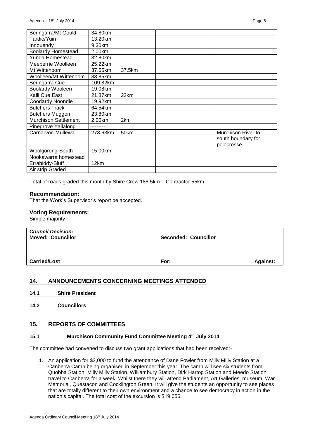| Beringarra/Mt Gould         | 34.80km  |        |                    |
|-----------------------------|----------|--------|--------------------|
| Tardie/Yuin                 | 13.20km  |        |                    |
| Innouendy                   | 9.30km   |        |                    |
| <b>Boolardy Homestead</b>   | 2.00km   |        |                    |
| Yunda Homestead             | 32.80km  |        |                    |
| Meeberrie Woolleen          | 25.22km  |        |                    |
| Mt Wittenoom                | 37.55km  | 37.5km |                    |
| Woolleen/Mt Wittenoom       | 33.85km  |        |                    |
| Beringarra Cue              | 109.82km |        |                    |
| <b>Boolardy Wooleen</b>     | 19.08km  |        |                    |
| Kalli Cue East              | 21.87km  | 22km   |                    |
| <b>Coodardy Noondie</b>     | 19.92km  |        |                    |
| <b>Butchers Track</b>       | 64.54km  |        |                    |
| <b>Butchers Muggon</b>      | 23.80km  |        |                    |
| <b>Murchison Settlement</b> | 2.00km   | 2km    |                    |
| Pinegrove Yallalong         |          |        |                    |
| Carnarvon-Mullewa           | 278.63km | 50km   | Murchison River to |
|                             |          |        | south boundary for |
|                             |          |        | polocrosse         |
| Woolgorong-South            | 15.00km  |        |                    |
| Nookawarra homestead        |          |        |                    |
| Errabiddy-Bluff             | 12km     |        |                    |
| Air strip Graded            |          |        |                    |

Total of roads graded this month by Shire Crew 188.5km – Contractor 55km

#### **Recommendation:**

That the Work's Supervisor's report be accepted.

#### **Voting Requirements:**

Simple majority

| <b>Council Decision:</b><br><b>Moved: Councillor</b> | <b>Seconded: Councillor</b> |                 |
|------------------------------------------------------|-----------------------------|-----------------|
| <b>Carried/Lost</b>                                  | For:                        | <b>Against:</b> |

## <span id="page-7-0"></span>**14. ANNOUNCEMENTS CONCERNING MEETINGS ATTENDED**

- <span id="page-7-1"></span>**14.1 Shire President**
- <span id="page-7-2"></span>**14.2 Councillors**

## <span id="page-7-3"></span>**15. REPORTS OF COMMITTEES**

## <span id="page-7-4"></span>**15.1 Murchison Community Fund Committee Meeting 4th July 2014**

The committee had convened to discuss two grant applications that had been received:-

1. An application for \$3,000 to fund the attendance of Dane Fowler from Milly Milly Station at a Canberra Camp being organised in September this year. The camp will see six students from Quobba Station, Milly Milly Station, Williambury Station, Dirk Hartog Station and Meedo Station travel to Canberra for a week. Whilst there they will attend Parliament, Art Galleries, museum, War Memorial, Questacon and Cocklington Green. It will give the students an opportunity to see places that are totally different to their own environment and a chance to see democracy in action in the nation's capital. The total cost of the excursion is \$19,056.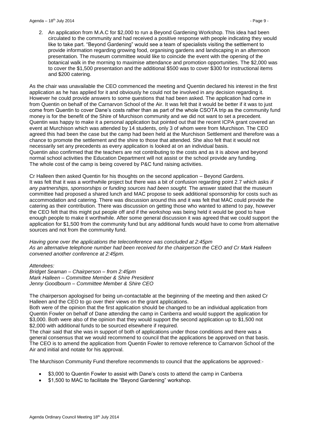2. An application from M.A.C for \$2,000 to run a Beyond Gardening Workshop. This idea had been circulated to the community and had received a positive response with people indicating they would like to take part. "Beyond Gardening" would see a team of specialists visiting the settlement to provide information regarding growing food, organising gardens and landscaping in an afternoon presentation. The museum committee would like to coincide the event with the opening of the botanical walk in the morning to maximise attendance and promotion opportunities. The \$2,000 was to cover the \$1,500 presentation and the additional \$500 was to cover \$300 for instructional items and \$200 catering.

As the chair was unavailable the CEO commenced the meeting and Quentin declared his interest in the first application as he has applied for it and obviously he could not be involved in any decision regarding it. However he could provide answers to some questions that had been asked. The application had come in from Quentin on behalf of the Carnarvon School of the Air. It was felt that it would be better if it was to just come from Quentin to cover Dane's costs rather than as part of the whole CSOTA trip as the community fund money is for the benefit of the Shire of Murchison community and we did not want to set a precedent. Quentin was happy to make it a personal application but pointed out that the recent ICPA grant covered an event at Murchison which was attended by 14 students, only 3 of whom were from Murchison. The CEO agreed this had been the case but the camp had been held at the Murchison Settlement and therefore was a chance to promote the settlement and the shire to those that attended. She also felt that it would not necessarily set any precedents as every application is looked at on an individual basis. Quentin also confirmed that the teachers are not contributing to the costs and as it is above and beyond normal school activities the Education Department will not assist or the school provide any funding. The whole cost of the camp is being covered by P&C fund raising activities.

Cr Halleen then asked Quentin for his thoughts on the second application – Beyond Gardens. It was felt that it was a worthwhile project but there was a bit of confusion regarding point 2.7 which asks *if any partnerships, sponsorships or funding sources had been sought.* The answer stated that the museum committee had proposed a shared lunch and MAC propose to seek additional sponsorship for costs such as accommodation and catering. There was discussion around this and it was felt that MAC could provide the catering as their contribution. There was discussion on getting those who wanted to attend to pay, however the CEO felt that this might put people off and if the workshop was being held it would be good to have enough people to make it worthwhile. After some general discussion it was agreed that we could support the application for \$1,500 from the community fund but any additional funds would have to come from alternative sources and not from the community fund.

*Having gone over the applications the teleconference was concluded at 2:45pm As an alternative telephone number had been received for the chairperson the CEO and Cr Mark Halleen convened another conference at 2:45pm.*

*Attendees:*

*Bridget Seaman – Chairperson – from 2:45pm Mark Halleen – Committee Member & Shire President Jenny Goodbourn – Committee Member & Shire CEO*

The chairperson apologised for being un-contactable at the beginning of the meeting and then asked Cr Halleen and the CEO to go over their views on the grant applications.

Both were of the opinion that the first application should be changed to be an individual application from Quentin Fowler on behalf of Dane attending the camp in Canberra and would support the application for \$3,000. Both were also of the opinion that they would support the second application up to \$1,500 not \$2,000 with additional funds to be sourced elsewhere if required.

The chair said that she was in support of both of applications under those conditions and there was a general consensus that we would recommend to council that the applications be approved on that basis. The CEO is to amend the application from Quentin Fowler to remove reference to Carnarvon School of the Air and initial and notate for his approval.

The Murchison Community Fund therefore recommends to council that the applications be approved:-

- \$3,000 to Quentin Fowler to assist with Dane's costs to attend the camp in Canberra
- \$1,500 to MAC to facilitate the "Beyond Gardening" workshop.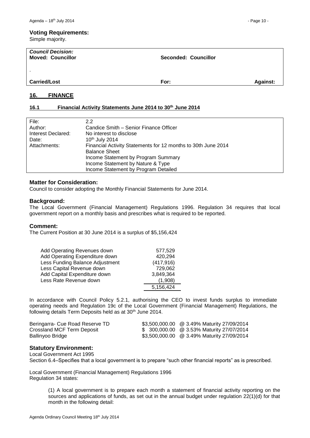## **Voting Requirements:**

Simple majority.

| <b>Council Decision:</b><br><b>Moved: Councillor</b> | Seconded: Councillor |                 |
|------------------------------------------------------|----------------------|-----------------|
|                                                      |                      |                 |
| <b>Carried/Lost</b>                                  | For:                 | <b>Against:</b> |

## <span id="page-9-0"></span>**16. FINANCE**

## <span id="page-9-1"></span>**16.1 Financial Activity Statements June 2014 to 30th June 2014**

| File:              | $2.2^{\circ}$                                                 |
|--------------------|---------------------------------------------------------------|
| Author:            | Candice Smith - Senior Finance Officer                        |
| Interest Declared: | No interest to disclose                                       |
| Date:              | 10 <sup>th</sup> July 2014                                    |
| Attachments:       | Financial Activity Statements for 12 months to 30th June 2014 |
|                    | <b>Balance Sheet</b>                                          |
|                    | Income Statement by Program Summary                           |
|                    | Income Statement by Nature & Type                             |
|                    | Income Statement by Program Detailed                          |
|                    |                                                               |

## **Matter for Consideration:**

Council to consider adopting the Monthly Financial Statements for June 2014.

#### **Background:**

The Local Government (Financial Management) Regulations 1996. Regulation 34 requires that local government report on a monthly basis and prescribes what is required to be reported.

## **Comment:**

The Current Position at 30 June 2014 is a surplus of \$5,156,424

| Add Operating Revenues down     | 577,529    |
|---------------------------------|------------|
| Add Operating Expenditure down  | 420,294    |
| Less Funding Balance Adjustment | (417, 916) |
| Less Capital Revenue down       | 729,062    |
| Add Capital Expenditure down    | 3,849,364  |
| Less Rate Revenue down          | (1.908)    |
|                                 | 5,156,424  |

In accordance with Council Policy 5.2.1, authorising the CEO to invest funds surplus to immediate operating needs and Regulation 19c of the Local Government (Financial Management) Regulations, the following details Term Deposits held as at 30<sup>th</sup> June 2014.

| Beringarra- Cue Road Reserve TD | \$3,500,000.00 @ 3.49% Maturity 27/09/2014 |
|---------------------------------|--------------------------------------------|
| Crossland MCF Term Deposit      | \$ 300,000.00 @ 3.53% Maturity 27/07/2014  |
| Ballinyoo Bridge                | \$3,500,000.00 @ 3.49% Maturity 27/09/2014 |

## **Statutory Environment:**

Local Government Act 1995

Section 6.4–Specifies that a local government is to prepare "such other financial reports" as is prescribed.

Local Government (Financial Management) Regulations 1996 Regulation 34 states:

> (1) A local government is to prepare each month a statement of financial activity reporting on the sources and applications of funds, as set out in the annual budget under regulation 22(1)(d) for that month in the following detail: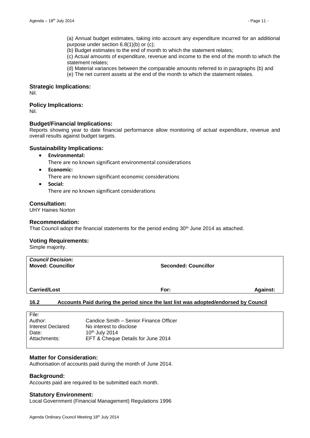(a) Annual budget estimates, taking into account any expenditure incurred for an additional purpose under section 6.8(1)(b) or (c);

(b) Budget estimates to the end of month to which the statement relates;

(c) Actual amounts of expenditure, revenue and income to the end of the month to which the statement relates;

(d) Material variances between the comparable amounts referred to in paragraphs (b) and

(e) The net current assets at the end of the month to which the statement relates.

## **Strategic Implications:**

Nil.

## **Policy Implications:**

Nil.

## **Budget/Financial Implications:**

Reports showing year to date financial performance allow monitoring of actual expenditure, revenue and overall results against budget targets.

## **Sustainability Implications:**

**Environmental:**

There are no known significant environmental considerations

**Economic:**

There are no known significant economic considerations

 **Social:** There are no known significant considerations

## **Consultation:**

UHY Haines Norton

## **Recommendation:**

That Council adopt the financial statements for the period ending 30<sup>th</sup> June 2014 as attached.

## **Voting Requirements:**

Simple majority.

| <b>Council Decision:</b><br><b>Moved: Councillor</b> | <b>Seconded: Councillor</b>                                                         |                 |
|------------------------------------------------------|-------------------------------------------------------------------------------------|-----------------|
| <b>Carried/Lost</b>                                  | For:                                                                                | <b>Against:</b> |
| 16.2                                                 | Accounts Paid during the period since the last list was adopted/endorsed by Council |                 |

## <span id="page-10-0"></span>**16.2 Accounts Paid during the period since the last list was adopted/endorsed by Council**

| File:              |                                        |
|--------------------|----------------------------------------|
| Author:            | Candice Smith – Senior Finance Officer |
| Interest Declared: | No interest to disclose                |
| Date:              | 10th July 2014                         |
| Attachments:       | EFT & Cheque Details for June 2014     |
|                    |                                        |

## **Matter for Consideration:**

Authorisation of accounts paid during the month of June 2014.

## **Background:**

Accounts paid are required to be submitted each month.

## **Statutory Environment:**

Local Government (Financial Management) Regulations 1996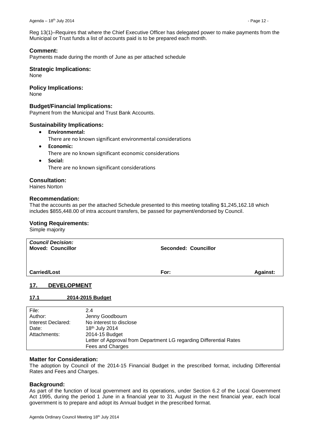Reg 13(1)–Requires that where the Chief Executive Officer has delegated power to make payments from the Municipal or Trust funds a list of accounts paid is to be prepared each month.

## **Comment:**

Payments made during the month of June as per attached schedule

#### **Strategic Implications:**

None

## **Policy Implications:**

None

#### **Budget/Financial Implications:**

Payment from the Municipal and Trust Bank Accounts.

#### **Sustainability Implications:**

- **Environmental:**
	- There are no known significant environmental considerations
- **Economic:** There are no known significant economic considerations
- **Social:**

There are no known significant considerations

## **Consultation:**

Haines Norton

#### **Recommendation:**

That the accounts as per the attached Schedule presented to this meeting totalling \$1,245,162.18 which includes \$855,448.00 of intra account transfers, be passed for payment/endorsed by Council.

#### **Voting Requirements:**

Simple majority

|--|--|

## <span id="page-11-0"></span>**17. DEVELOPMENT**

## <span id="page-11-1"></span>**17.1 2014-2015 Budget**

| File:              | 2.4                                                                |
|--------------------|--------------------------------------------------------------------|
| Author:            | Jenny Goodbourn                                                    |
| Interest Declared: | No interest to disclose                                            |
| Date:              | 18 <sup>th</sup> July 2014                                         |
| Attachments:       | 2014-15 Budget                                                     |
|                    | Letter of Approval from Department LG regarding Differential Rates |
|                    | Fees and Charges                                                   |

## **Matter for Consideration:**

The adoption by Council of the 2014-15 Financial Budget in the prescribed format, including Differential Rates and Fees and Charges.

## **Background:**

As part of the function of local government and its operations, under Section 6.2 of the Local Government Act 1995, during the period 1 June in a financial year to 31 August in the next financial year, each local government is to prepare and adopt its Annual budget in the prescribed format.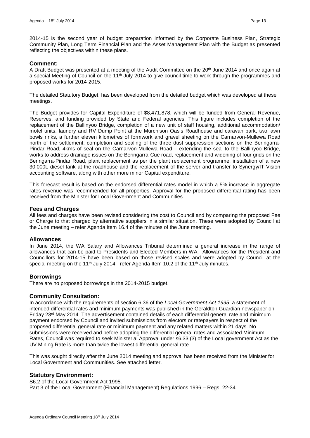2014-15 is the second year of budget preparation informed by the Corporate Business Plan, Strategic Community Plan, Long Term Financial Plan and the Asset Management Plan with the Budget as presented reflecting the objectives within these plans.

#### **Comment:**

A Draft Budget was presented at a meeting of the Audit Committee on the 20<sup>th</sup> June 2014 and once again at a special Meeting of Council on the 11<sup>th</sup> July 2014 to give council time to work through the programmes and proposed works for 2014-2015.

The detailed Statutory Budget, has been developed from the detailed budget which was developed at these meetings.

The Budget provides for Capital Expenditure of \$8,471,878, which will be funded from General Revenue, Reserves, and funding provided by State and Federal agencies. This figure includes completion of the replacement of the Ballinyoo Bridge, completion of a new unit of staff housing, additional accommodation/ motel units, laundry and RV Dump Point at the Murchison Oasis Roadhouse and caravan park, two lawn bowls rinks, a further eleven kilometres of formwork and gravel sheeting on the Carnarvon-Mullewa Road north of the settlement, completion and sealing of the three dust suppression sections on the Beringarra-Pindar Road, 4kms of seal on the Carnarvon-Mullewa Road – extending the seal to the Ballinyoo Bridge, works to address drainage issues on the Beringarra-Cue road, replacement and widening of four grids on the Beringarra-Pindar Road, plant replacement as per the plant replacement programme, installation of a new 30,000L diesel tank at the roadhouse and the replacement of the server and transfer to Synergy/IT Vision accounting software, along with other more minor Capital expenditure.

This forecast result is based on the endorsed differential rates model in which a 5% increase in aggregate rates revenue was recommended for all properties. Approval for the proposed differential rating has been received from the Minister for Local Government and Communities.

#### **Fees and Charges**

All fees and charges have been revised considering the cost to Council and by comparing the proposed Fee or Charge to that charged by alternative suppliers in a similar situation. These were adopted by Council at the June meeting – refer Agenda Item 16.4 of the minutes of the June meeting.

#### **Allowances**

In June 2014, the WA Salary and Allowances Tribunal determined a general increase in the range of allowances that can be paid to Presidents and Elected Members in WA. Allowances for the President and Councillors for 2014-15 have been based on those revised scales and were adopted by Council at the special meeting on the 11<sup>th</sup> July 2014 - refer Agenda Item 10.2 of the 11<sup>th</sup> July minutes.

#### **Borrowings**

There are no proposed borrowings in the 2014-2015 budget.

## **Community Consultation:**

In accordance with the requirements of section 6.36 of the *Local Government Act 1995*, a statement of intended differential rates and minimum payments was published in the Geraldton Guardian newspaper on Friday 23rd May 2014. The advertisement contained details of each differential general rate and minimum payment endorsed by Council and invited submissions from electors or ratepayers in respect of the proposed differential general rate or minimum payment and any related matters within 21 days. No submissions were received and before adopting the differential general rates and associated Minimum Rates, Council was required to seek Ministerial Approval under s6.33 (3) of the Local government Act as the UV Mining Rate is more than twice the lowest differential general rate.

This was sought directly after the June 2014 meeting and approval has been received from the Minister for Local Government and Communities. See attached letter.

## **Statutory Environment:**

S6.2 of the Local Government Act 1995. Part 3 of the Local Government (Financial Management) Regulations 1996 – Regs. 22-34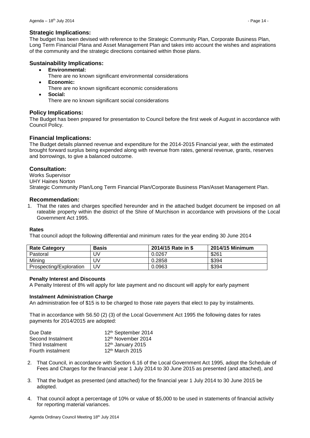## **Strategic Implications:**

The budget has been devised with reference to the Strategic Community Plan, Corporate Business Plan, Long Term Financial Plana and Asset Management Plan and takes into account the wishes and aspirations of the community and the strategic directions contained within those plans.

## **Sustainability Implications:**

- **Environmental:**
	- There are no known significant environmental considerations
- **Economic:**
	- There are no known significant economic considerations
- **Social:**

There are no known significant social considerations

## **Policy Implications:**

The Budget has been prepared for presentation to Council before the first week of August in accordance with Council Policy.

## **Financial Implications:**

The Budget details planned revenue and expenditure for the 2014-2015 Financial year, with the estimated brought forward surplus being expended along with revenue from rates, general revenue, grants, reserves and borrowings, to give a balanced outcome.

## **Consultation:**

Works Supervisor UHY Haines Norton Strategic Community Plan/Long Term Financial Plan/Corporate Business Plan/Asset Management Plan.

## **Recommendation:**

1. That the rates and charges specified hereunder and in the attached budget document be imposed on all rateable property within the district of the Shire of Murchison in accordance with provisions of the Local Government Act 1995.

## **Rates**

That council adopt the following differential and minimum rates for the year ending 30 June 2014

| <b>Rate Category</b>    | <b>Basis</b> | 2014/15 Rate in \$ | 2014/15 Minimum |
|-------------------------|--------------|--------------------|-----------------|
| Pastoral                | JV           | 0.0267             | \$261           |
| Minina                  | .JV          | 0.2858             | \$394           |
| Prospecting/Exploration | J۷           | 0.0963             | \$394           |

## **Penalty Interest and Discounts**

A Penalty Interest of 8% will apply for late payment and no discount will apply for early payment

#### **Instalment Administration Charge**

An administration fee of \$15 is to be charged to those rate payers that elect to pay by instalments.

That in accordance with S6.50 (2) (3) of the Local Government Act 1995 the following dates for rates payments for 2014/2015 are adopted:

| Due Date          | 12th September 2014           |
|-------------------|-------------------------------|
| Second Instalment | 12th November 2014            |
| Third Instalment  | 12 <sup>th</sup> January 2015 |
| Fourth instalment | $12th$ March 2015             |

- 2. That Council, in accordance with Section 6.16 of the Local Government Act 1995, adopt the Schedule of Fees and Charges for the financial year 1 July 2014 to 30 June 2015 as presented (and attached), and
- 3. That the budget as presented (and attached) for the financial year 1 July 2014 to 30 June 2015 be adopted.
- 4. That council adopt a percentage of 10% or value of \$5,000 to be used in statements of financial activity for reporting material variances.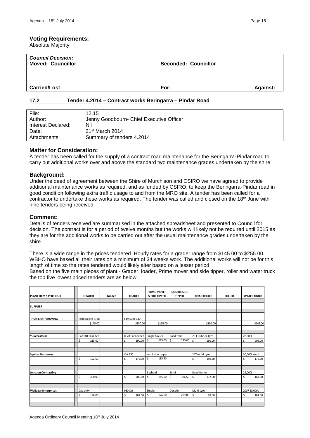#### **Voting Requirements:**

Absolute Majority

| <b>Council Decision:</b><br><b>Moved: Councillor</b> | <b>Seconded: Councillor</b>                             |                 |
|------------------------------------------------------|---------------------------------------------------------|-----------------|
| <b>Carried/Lost</b>                                  | For:                                                    | <b>Against:</b> |
| 17.2                                                 | Tender 4.2014 - Contract works Beringarra - Pindar Road |                 |
| $\mathbf{r}$<br>$\lambda$ $\sim$ $\lambda$ $\sim$    |                                                         |                 |

<span id="page-14-0"></span>

| File:              | 12.15                                    |
|--------------------|------------------------------------------|
| Author:            | Jenny Goodbourn- Chief Executive Officer |
| Interest Declared: | Nil                                      |
| Date:              | $21st$ March 2014                        |
| Attachments:       | Summary of tenders 4.2014                |

## **Matter for Consideration:**

A tender has been called for the supply of a contract road maintenance for the Beringarra-Pindar road to carry out additional works over and above the standard two maintenance grades undertaken by the shire.

## **Background:**

Under the deed of agreement between the Shire of Murchison and CSIRO we have agreed to provide additional maintenance works as required, and as funded by CSIRO, to keep the Beringarra-Pindar road in good condition following extra traffic usage to and from the MRO site. A tender has been called for a contractor to undertake these works as required. The tender was called and closed on the 18th June with nine tenders being received.

## **Comment:**

Details of tenders received are summarised in the attached spreadsheet and presented to Council for decision. The contract is for a period of twelve months but the works will likely not be required until 2015 as they are for the additional works to be carried out after the usual maintenance grades undertaken by the shire.

There is a wide range in the prices tendered. Hourly rates for a grader range from \$145.00 to \$255.00. WBHO have based all their rates on a minimum of 34 weeks work. The additional works will not be for this length of time so the rates tendered would likely alter based on a lesser period.

Based on the five main pieces of plant:- Grader, loader, Prime mover and side tipper, roller and water truck the top five lowest priced tenders are as below:

| PLANT ITEM \$ PER HOUR      | <b>GRADER</b>   | Grader |             | <b>LOADER</b>    |         | <b>PRIME MOVER</b><br><b>&amp; SIDE TIPPER</b> | <b>DOUBLE SIDE</b><br><b>TIPPER</b> |                | <b>ROAD ROLLER</b> |          | <b>ROLLER</b> |          | <b>WATER TRUCK</b> |  |
|-----------------------------|-----------------|--------|-------------|------------------|---------|------------------------------------------------|-------------------------------------|----------------|--------------------|----------|---------------|----------|--------------------|--|
|                             |                 |        |             |                  |         |                                                |                                     |                |                    |          |               |          |                    |  |
| <b>SUPPLIER</b>             |                 |        |             |                  |         |                                                |                                     |                |                    |          |               |          |                    |  |
|                             |                 |        |             |                  |         |                                                |                                     |                |                    |          |               |          |                    |  |
| <b>THEM EARTHMOVING</b>     | John Deere 772B |        | Samsung 330 |                  |         |                                                |                                     |                |                    |          |               |          |                    |  |
|                             | \$145.00        |        |             | \$150.00         |         | \$165.00                                       |                                     |                |                    | \$100.00 |               | \$145.00 |                    |  |
|                             |                 |        |             |                  |         |                                                |                                     |                |                    |          |               |          |                    |  |
|                             |                 |        |             |                  |         |                                                |                                     |                |                    |          |               |          |                    |  |
| <b>Yuin Pastoral</b>        | Cat 140H Grader |        |             | IT 28 Cat Loader |         | Single trailer                                 | Road train                          |                | 20 T Rubber Tyre   |          |               | 28,000L  |                    |  |
|                             | \$<br>215.00    |        | \$          | 190.00           | \$      | 225.00                                         | \$                                  | 250.00         | \$                 | 160.00   |               | \$       | 205.00             |  |
|                             |                 |        |             |                  |         |                                                |                                     |                |                    |          |               |          |                    |  |
|                             |                 |        |             |                  |         |                                                |                                     |                |                    |          |               |          |                    |  |
| <b>Squires Resources</b>    |                 |        | Cat 950     |                  |         | semi side tipper                               |                                     | 24T multi tyre |                    |          | 30,000L semi  |          |                    |  |
|                             | Ś<br>192.50     |        | \$          | 176.00           | Ś.      | 185.90                                         |                                     |                | \$                 | 159.50   |               | \$       | 176.00             |  |
|                             |                 |        |             |                  |         |                                                |                                     |                |                    |          |               |          |                    |  |
|                             |                 |        |             |                  |         |                                                |                                     |                |                    |          |               |          |                    |  |
| <b>Junction Contracting</b> |                 |        |             |                  | 6 wheel |                                                | Semi                                |                | Road Roller        |          |               | 24,000L  |                    |  |
|                             | \$<br>200.00    |        | \$          | 200.00           | \$      | 145.00                                         | \$                                  | 186.50         | \$                 | 137.00   |               | \$       | 164.50             |  |
|                             |                 |        |             |                  |         |                                                |                                     |                |                    |          |               |          |                    |  |
|                             |                 |        |             |                  |         |                                                |                                     |                |                    |          |               |          |                    |  |
| <b>Walladar Enterprises</b> | <b>Cat 140H</b> |        | 980 Cat     |                  | Single  |                                                | Double                              |                | Multi tyre         |          |               |          | 2007 30,000L       |  |
|                             | \$<br>198.00    |        | \$          | 181.50           | \$      | 176.00                                         | \$                                  | 209.00         | \$                 | 99.00    |               | \$       | 181.50             |  |
|                             |                 |        |             |                  |         |                                                |                                     |                |                    |          |               |          |                    |  |
|                             |                 |        |             |                  |         |                                                |                                     |                |                    |          |               |          |                    |  |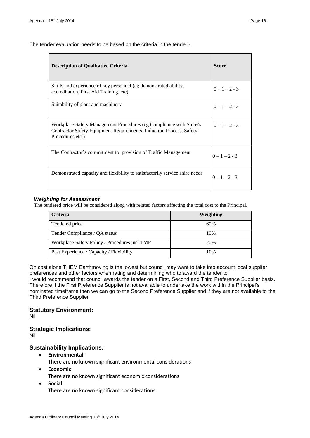The tender evaluation needs to be based on the criteria in the tender:-

| <b>Description of Qualitative Criteria</b>                                                                                                                   | <b>Score</b>    |
|--------------------------------------------------------------------------------------------------------------------------------------------------------------|-----------------|
| Skills and experience of key personnel (eg demonstrated ability,<br>accreditation, First Aid Training, etc)                                                  | $0 - 1 - 2 - 3$ |
| Suitability of plant and machinery                                                                                                                           | $0-1-2-3$       |
| Workplace Safety Management Procedures (eg Compliance with Shire's<br>Contractor Safety Equipment Requirements, Induction Process, Safety<br>Procedures etc) | $0 - 1 - 2 - 3$ |
| The Contractor's commitment to provision of Traffic Management                                                                                               | $0-1-2-3$       |
| Demonstrated capacity and flexibility to satisfactorily service shire needs                                                                                  | $0 - 1 - 2 - 3$ |

## *Weighting for Assessment*

The tendered price will be considered along with related factors affecting the total cost to the Principal.

| <b>Criteria</b>                               | Weighting |
|-----------------------------------------------|-----------|
| Tendered price                                | 60%       |
| Tender Compliance / QA status                 | 10%       |
| Workplace Safety Policy / Procedures incl TMP | 20%       |
| Past Experience / Capacity / Flexibility      | 10%       |

On cost alone THEM Earthmoving is the lowest but council may want to take into account local supplier preferences and other factors when rating and determining who to award the tender to.

I would recommend that council awards the tender on a First, Second and Third Preference Supplier basis. Therefore if the First Preference Supplier is not available to undertake the work within the Principal's nominated timeframe then we can go to the Second Preference Supplier and if they are not available to the Third Preference Supplier

## **Statutory Environment:**

Nil

## **Strategic Implications:**

Nil

## **Sustainability Implications:**

- **Environmental:** There are no known significant environmental considerations
- **Economic:** There are no known significant economic considerations
- **Social:** There are no known significant considerations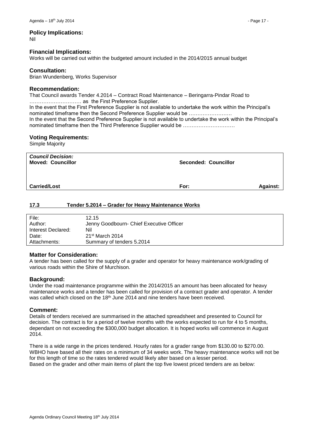Nil

## **Financial Implications:**

Works will be carried out within the budgeted amount included in the 2014/2015 annual budget

## **Consultation:**

Brian Wundenberg, Works Supervisor

## **Recommendation:**

That Council awards Tender 4.2014 – Contract Road Maintenance – Beringarra-Pindar Road to ………………………… as the First Preference Supplier.

In the event that the First Preference Supplier is not available to undertake the work within the Principal's nominated timeframe then the Second Preference Supplier would be ……………………. In the event that the Second Preference Supplier is not available to undertake the work within the Principal's nominated timeframe then the Third Preference Supplier would be …………………………

## **Voting Requirements:**

Simple Majority

| <b>Council Decision:</b><br><b>Moved: Councillor</b> | Seconded: Councillor |                 |
|------------------------------------------------------|----------------------|-----------------|
| <b>Carried/Lost</b>                                  | For:                 | <b>Against:</b> |

## <span id="page-16-0"></span>**17.3 Tender 5.2014 – Grader for Heavy Maintenance Works**

| File:              | 12.15                                    |
|--------------------|------------------------------------------|
| Author:            | Jenny Goodbourn- Chief Executive Officer |
| Interest Declared: | Nil                                      |
| Date:              | $21st$ March 2014                        |
| Attachments:       | Summary of tenders 5.2014                |

## **Matter for Consideration:**

A tender has been called for the supply of a grader and operator for heavy maintenance work/grading of various roads within the Shire of Murchison.

## **Background:**

Under the road maintenance programme within the 2014/2015 an amount has been allocated for heavy maintenance works and a tender has been called for provision of a contract grader and operator. A tender was called which closed on the 18<sup>th</sup> June 2014 and nine tenders have been received.

## **Comment:**

Details of tenders received are summarised in the attached spreadsheet and presented to Council for decision. The contract is for a period of twelve months with the works expected to run for 4 to 5 months, dependant on not exceeding the \$300,000 budget allocation. It is hoped works will commence in August 2014.

There is a wide range in the prices tendered. Hourly rates for a grader range from \$130.00 to \$270.00. WBHO have based all their rates on a minimum of 34 weeks work. The heavy maintenance works will not be for this length of time so the rates tendered would likely alter based on a lesser period. Based on the grader and other main items of plant the top five lowest priced tenders are as below: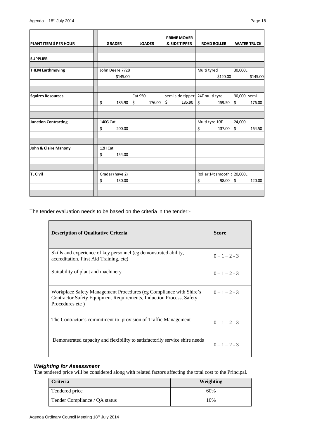| <b>PLANT ITEM \$ PER HOUR</b> | <b>GRADER</b>   |          | <b>LOADER</b>  |        |         | <b>PRIME MOVER</b><br><b>&amp; SIDE TIPPER</b> |             | <b>ROAD ROLLER</b>          |              | <b>WATER TRUCK</b> |
|-------------------------------|-----------------|----------|----------------|--------|---------|------------------------------------------------|-------------|-----------------------------|--------------|--------------------|
|                               |                 |          |                |        |         |                                                |             |                             |              |                    |
| <b>SUPPLIER</b>               |                 |          |                |        |         |                                                |             |                             |              |                    |
|                               |                 |          |                |        |         |                                                |             |                             |              |                    |
| <b>THEM Earthmoving</b>       | John Deere 772B |          |                |        |         |                                                | Multi tyred |                             | 30,000L      |                    |
|                               |                 | \$145.00 |                |        |         |                                                |             | \$120.00                    |              | \$145.00           |
|                               |                 |          |                |        |         |                                                |             |                             |              |                    |
| <b>Squires Resources</b>      |                 |          | <b>Cat 950</b> |        |         | semi side tipper 24T multi tyre                |             |                             | 30,000L semi |                    |
|                               | \$              | 185.90   | \$             | 176.00 | $\zeta$ | 185.90                                         | \$          | 159.50                      | \$           | 176.00             |
|                               |                 |          |                |        |         |                                                |             |                             |              |                    |
|                               |                 |          |                |        |         |                                                |             |                             |              |                    |
| <b>Junction Contracting</b>   | 140G Cat        |          |                |        |         |                                                |             | Multi tyre 10T              | 24,000L      |                    |
|                               | \$              | 200.00   |                |        |         |                                                | \$          | 137.00                      | \$           | 164.50             |
|                               |                 |          |                |        |         |                                                |             |                             |              |                    |
|                               |                 |          |                |        |         |                                                |             |                             |              |                    |
| John & Claire Mahony          | 12H Cat         |          |                |        |         |                                                |             |                             |              |                    |
|                               | \$              | 154.00   |                |        |         |                                                |             |                             |              |                    |
|                               |                 |          |                |        |         |                                                |             |                             |              |                    |
|                               |                 |          |                |        |         |                                                |             |                             |              |                    |
| <b>TL Civil</b>               | Grader (have 2) |          |                |        |         |                                                |             | Roller 14t smooth   20,000L |              |                    |
|                               | \$              | 130.00   |                |        |         |                                                | \$          | 98.00                       | \$           | 120.00             |
|                               |                 |          |                |        |         |                                                |             |                             |              |                    |
|                               |                 |          |                |        |         |                                                |             |                             |              |                    |

The tender evaluation needs to be based on the criteria in the tender:-

| <b>Description of Qualitative Criteria</b>                                                                                                                   | Score           |
|--------------------------------------------------------------------------------------------------------------------------------------------------------------|-----------------|
| Skills and experience of key personnel (eg demonstrated ability,<br>accreditation, First Aid Training, etc)                                                  | $0-1-2-3$       |
| Suitability of plant and machinery                                                                                                                           | $0-1-2-3$       |
| Workplace Safety Management Procedures (eg Compliance with Shire's<br>Contractor Safety Equipment Requirements, Induction Process, Safety<br>Procedures etc) | $0 - 1 - 2 - 3$ |
| The Contractor's commitment to provision of Traffic Management                                                                                               | $0 - 1 - 2 - 3$ |
| Demonstrated capacity and flexibility to satisfactorily service shire needs                                                                                  | $0 - 1 - 2 - 3$ |

## *Weighting for Assessment*

The tendered price will be considered along with related factors affecting the total cost to the Principal.

| <b>Criteria</b>               | Weighting |
|-------------------------------|-----------|
| Tendered price                | 60%       |
| Tender Compliance / QA status | 10%       |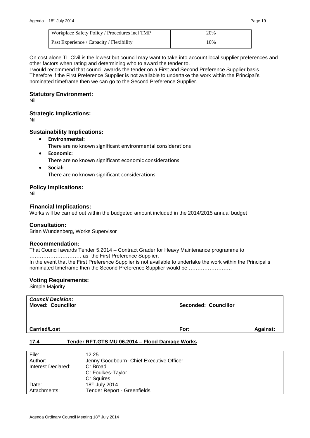| Workplace Safety Policy / Procedures incl TMP | 20% |
|-----------------------------------------------|-----|
| Past Experience / Capacity / Flexibility      | 10% |

On cost alone TL Civil is the lowest but council may want to take into account local supplier preferences and other factors when rating and determining who to award the tender to.

I would recommend that council awards the tender on a First and Second Preference Supplier basis. Therefore if the First Preference Supplier is not available to undertake the work within the Principal's nominated timeframe then we can go to the Second Preference Supplier.

#### **Statutory Environment:**

Nil

## **Strategic Implications:**

Nil

## **Sustainability Implications:**

- **Environmental:** There are no known significant environmental considerations
- **Economic:** There are no known significant economic considerations
- **Social:** There are no known significant considerations

#### **Policy Implications:**

Nil

#### **Financial Implications:**

Works will be carried out within the budgeted amount included in the 2014/2015 annual budget

#### **Consultation:**

Brian Wundenberg, Works Supervisor

#### **Recommendation:**

That Council awards Tender 5.2014 – Contract Grader for Heavy Maintenance programme to ………………………… as the First Preference Supplier.

In the event that the First Preference Supplier is not available to undertake the work within the Principal's nominated timeframe then the Second Preference Supplier would be …………………….

#### **Voting Requirements:**

Simple Majority

*Council Decision:*

**Moved: Councillor Seconded: Councillor**

**Carried/Lost For: Against:** 

## <span id="page-18-0"></span>**17.4 Tender RFT.GTS MU 06.2014 – Flood Damage Works**

| File:              | 12.25                                    |
|--------------------|------------------------------------------|
| Author:            | Jenny Goodbourn- Chief Executive Officer |
| Interest Declared: | Cr Broad                                 |
|                    | Cr Foulkes-Taylor                        |
|                    | Cr Squires                               |
| Date:              | 18 <sup>th</sup> July 2014               |
| Attachments:       | <b>Tender Report - Greenfields</b>       |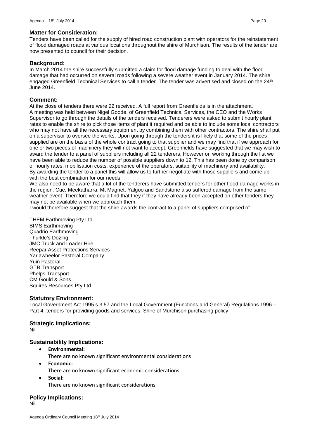## **Matter for Consideration:**

Tenders have been called for the supply of hired road construction plant with operators for the reinstatement of flood damaged roads at various locations throughout the shire of Murchison. The results of the tender are now presented to council for their decision.

## **Background:**

In March 2014 the shire successfully submitted a claim for flood damage funding to deal with the flood damage that had occurred on several roads following a severe weather event in January 2014. The shire engaged Greenfield Technical Services to call a tender. The tender was advertised and closed on the 24<sup>th</sup> June 2014.

## **Comment:**

At the close of tenders there were 22 received. A full report from Greenfields is in the attachment. A meeting was held between Nigel Goode, of Greenfield Technical Services, the CEO and the Works Supervisor to go through the details of the tenders received. Tenderers were asked to submit hourly plant rates to enable the shire to pick those items of plant it required and be able to include some local contractors who may not have all the necessary equipment by combining them with other contractors. The shire shall put on a supervisor to oversee the works. Upon going through the tenders it is likely that some of the prices supplied are on the basis of the whole contract going to that supplier and we may find that if we approach for one or two pieces of machinery they will not want to accept. Greenfields have suggested that we may wish to award the tender to a panel of suppliers including all 22 tenderers, However on working through the list we have been able to reduce the number of possible suppliers down to 12. This has been done by comparison of hourly rates, mobilisation costs, experience of the operators, suitability of machinery and availability. By awarding the tender to a panel this will allow us to further negotiate with those suppliers and come up with the best combination for our needs.

We also need to be aware that a lot of the tenderers have submitted tenders for other flood damage works in the region. Cue, Meekatharra, Mt Magnet, Yalgoo and Sandstone also suffered damage from the same weather event. Therefore we could find that they if they have already been accepted on other tenders they may not be available when we approach them.

I would therefore suggest that the shire awards the contract to a panel of suppliers comprised of :

THEM Earthmoving Pty Ltd BIMS Earthmoving Quadrio Earthmoving Thurkle's Dozing JMC Truck and Loader Hire Reepar Asset Protections Services Yarlawheelor Pastoral Company Yuin Pastoral GTB Transport Phelps Transport CM Gould & Sons Squires Resources Pty Ltd.

## **Statutory Environment:**

Local Government Act 1995 s.3.57 and the Local Government (Functions and General) Regulations 1996 – Part 4- tenders for providing goods and services. Shire of Murchison purchasing policy

## **Strategic Implications:**

Nil

## **Sustainability Implications:**

**Environmental:**

There are no known significant environmental considerations

- **Economic:**
	- There are no known significant economic considerations
- **Social:** There are no known significant considerations

## **Policy Implications:**

Nil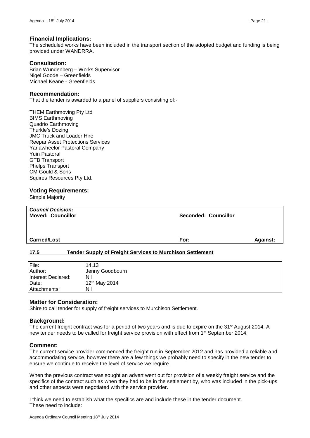#### **Financial Implications:**

The scheduled works have been included in the transport section of the adopted budget and funding is being provided under WANDRRA.

## **Consultation:**

Brian Wundenberg – Works Supervisor Nigel Goode – Greenfields Michael Keane - Greenfields

#### **Recommendation:**

That the tender is awarded to a panel of suppliers consisting of:-

THEM Earthmoving Pty Ltd BIMS Earthmoving Quadrio Earthmoving Thurkle's Dozing JMC Truck and Loader Hire Reepar Asset Protections Services Yarlawheelor Pastoral Company Yuin Pastoral GTB Transport Phelps Transport CM Gould & Sons Squires Resources Pty Ltd.

## **Voting Requirements:**

Simple Majority

| <b>Council Decision:</b><br><b>Moved: Councillor</b> | Seconded: Councillor |                 |  |
|------------------------------------------------------|----------------------|-----------------|--|
| <b>Carried/Lost</b>                                  | For:                 | <b>Against:</b> |  |

## <span id="page-20-0"></span>**17.5 Tender Supply of Freight Services to Murchison Settlement**

| File:              | 14.13                     |
|--------------------|---------------------------|
| Author:            | Jenny Goodbourn           |
| Interest Declared: | Nil                       |
| Date:              | 12 <sup>th</sup> May 2014 |
| Attachments:       | Nil                       |
|                    |                           |

#### **Matter for Consideration:**

Shire to call tender for supply of freight services to Murchison Settlement.

#### **Background:**

The current freight contract was for a period of two years and is due to expire on the 31<sup>st</sup> August 2014. A new tender needs to be called for freight service provision with effect from 1<sup>st</sup> September 2014.

#### **Comment:**

The current service provider commenced the freight run in September 2012 and has provided a reliable and accommodating service, however there are a few things we probably need to specify in the new tender to ensure we continue to receive the level of service we require.

When the previous contract was sought an advert went out for provision of a weekly freight service and the specifics of the contract such as when they had to be in the settlement by, who was included in the pick-ups and other aspects were negotiated with the service provider.

I think we need to establish what the specifics are and include these in the tender document. These need to include: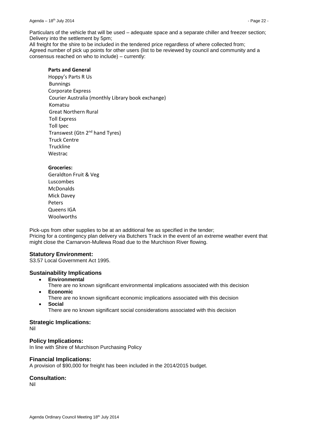Particulars of the vehicle that will be used – adequate space and a separate chiller and freezer section; Delivery into the settlement by 5pm;

All freight for the shire to be included in the tendered price regardless of where collected from; Agreed number of pick up points for other users (list to be reviewed by council and community and a consensus reached on who to include) – currently:

## **Parts and General**

Hoppy's Parts R Us Bunnings Corporate Express Courier Australia (monthly Library book exchange) Komatsu Great Northern Rural Toll Express Toll Ipec Transwest (Gtn 2nd hand Tyres) Truck Centre Truckline **Westrac** 

## **Groceries:**

Geraldton Fruit & Veg Luscombes McDonalds Mick Davey Peters Queens IGA Woolworths

Pick-ups from other supplies to be at an additional fee as specified in the tender; Pricing for a contingency plan delivery via Butchers Track in the event of an extreme weather event that might close the Carnarvon-Mullewa Road due to the Murchison River flowing.

## **Statutory Environment:**

S3.57 Local Government Act 1995.

## **Sustainability Implications**

- **Environmental**
- There are no known significant environmental implications associated with this decision **Economic**
- There are no known significant economic implications associated with this decision
- **Social**

There are no known significant social considerations associated with this decision

## **Strategic Implications:**

Nil

## **Policy Implications:**

In line with Shire of Murchison Purchasing Policy

## **Financial Implications:**

A provision of \$90,000 for freight has been included in the 2014/2015 budget.

## **Consultation:**

Nil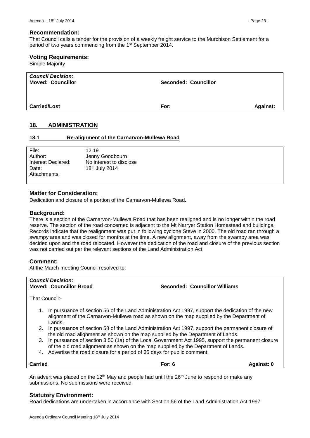#### **Recommendation:**

That Council calls a tender for the provision of a weekly freight service to the Murchison Settlement for a period of two years commencing from the 1st September 2014.

#### **Voting Requirements:**

Simple Majority

| <b>Council Decision:</b><br><b>Moved: Councillor</b> | <b>Seconded: Councillor</b> |                 |
|------------------------------------------------------|-----------------------------|-----------------|
| <b>Carried/Lost</b>                                  | For:                        | <b>Against:</b> |

## <span id="page-22-0"></span>**18. ADMINISTRATION**

#### <span id="page-22-1"></span>**18.1 Re-alignment of the Carnarvon-Mullewa Road**

| File:              | 12.19                      |
|--------------------|----------------------------|
| Author:            | Jenny Goodbourn            |
| Interest Declared: | No interest to disclose    |
| Date:              | 18 <sup>th</sup> July 2014 |
| Attachments:       |                            |
|                    |                            |

#### **Matter for Consideration:**

Dedication and closure of a portion of the Carnarvon-Mullewa Road**.**

#### **Background:**

There is a section of the Carnarvon-Mullewa Road that has been realigned and is no longer within the road reserve. The section of the road concerned is adjacent to the Mt Narryer Station Homestead and buildings. Records indicate that the realignment was put in following cyclone Steve in 2000. The old road ran through a swampy area and was closed for months at the time. A new alignment, away from the swampy area was decided upon and the road relocated. However the dedication of the road and closure of the previous section was not carried out per the relevant sections of the Land Administration Act.

## **Comment:**

At the March meeting Council resolved to:

# *Council Decision:*

**Moved: Councillor Broad Seconded: Councillor Williams**

That Council:-

- 1. In pursuance of section 56 of the Land Administration Act 1997, support the dedication of the new alignment of the Carnarvon-Mullewa road as shown on the map supplied by the Department of Lands.
- 2. In pursuance of section 58 of the Land Administration Act 1997, support the permanent closure of the old road alignment as shown on the map supplied by the Department of Lands.
- 3. In pursuance of section 3.50 (1a) of the Local Government Act 1995, support the permanent closure of the old road alignment as shown on the map supplied by the Department of Lands.
- 4. Advertise the road closure for a period of 35 days for public comment.

| <b>Carried</b> | For: $6$ | <b>Against: 0</b> |
|----------------|----------|-------------------|
|                |          |                   |

An advert was placed on the 12<sup>th</sup> May and people had until the 26<sup>th</sup> June to respond or make any submissions. No submissions were received.

#### **Statutory Environment:**

Road dedications are undertaken in accordance with Section 56 of the Land Administration Act 1997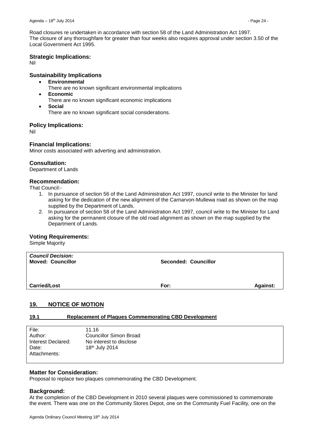Road closures re undertaken in accordance with section 58 of the Land Administration Act 1997. The closure of any thoroughfare for greater than four weeks also requires approval under section 3.50 of the Local Government Act 1995.

## **Strategic Implications:**

Nil

## **Sustainability Implications**

- **Environmental**
	- There are no known significant environmental implications
- **Economic**
	- There are no known significant economic implications
	- **Social**

There are no known significant social considerations.

## **Policy Implications:**

Nil

## **Financial Implications:**

Minor costs associated with adverting and administration.

## **Consultation:**

Department of Lands

## **Recommendation:**

That Council:-

- 1. In pursuance of section 56 of the Land Administration Act 1997, council write to the Minister for land asking for the dedication of the new alignment of the Carnarvon-Mullewa road as shown on the map supplied by the Department of Lands.
- 2. In pursuance of section 58 of the Land Administration Act 1997, council write to the Minister for Land asking for the permanent closure of the old road alignment as shown on the map supplied by the Department of Lands.

## **Voting Requirements:**

Simple Majority

| <b>Council Decision:</b><br><b>Moved: Councillor</b> | <b>Seconded: Councillor</b> |                 |
|------------------------------------------------------|-----------------------------|-----------------|
| <b>Carried/Lost</b>                                  | For:                        | <b>Against:</b> |

## <span id="page-23-0"></span>**19. NOTICE OF MOTION**

## <span id="page-23-1"></span>**19.1 Replacement of Plaques Commemorating CBD Development**

| File:              | 11.16                   |  |
|--------------------|-------------------------|--|
| Author:            | Councillor Simon Broad  |  |
| Interest Declared: | No interest to disclose |  |
| Date:              | 18th July 2014          |  |
| Attachments:       |                         |  |
|                    |                         |  |

## **Matter for Consideration:**

Proposal to replace two plaques commemorating the CBD Development.

## **Background:**

At the completion of the CBD Development in 2010 several plaques were commissioned to commemorate the event. There was one on the Community Stores Depot, one on the Community Fuel Facility, one on the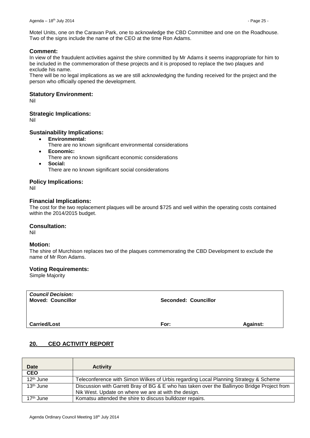Motel Units, one on the Caravan Park, one to acknowledge the CBD Committee and one on the Roadhouse. Two of the signs include the name of the CEO at the time Ron Adams.

## **Comment:**

In view of the fraudulent activities against the shire committed by Mr Adams it seems inappropriate for him to be included in the commemoration of these projects and it is proposed to replace the two plaques and exclude his name.

There will be no legal implications as we are still acknowledging the funding received for the project and the person who officially opened the development.

## **Statutory Environment:**

Nil

## **Strategic Implications:**

Nil

## **Sustainability Implications:**

- **Environmental:**
	- There are no known significant environmental considerations
- **Economic:**
	- There are no known significant economic considerations
- **Social:** There are no known significant social considerations

## **Policy Implications:**

Nil

## **Financial Implications:**

The cost for the two replacement plaques will be around \$725 and well within the operating costs contained within the 2014/2015 budget.

## **Consultation:**

Nil

## **Motion:**

The shire of Murchison replaces two of the plaques commemorating the CBD Development to exclude the name of Mr Ron Adams.

## **Voting Requirements:**

Simple Majority

*Council Decision:*

**Moved: Councillor Seconded: Councillor**

**Carried/Lost** Against:

## <span id="page-24-0"></span>**20. CEO ACTIVITY REPORT**

| <b>Date</b>           | <b>Activity</b>                                                                             |
|-----------------------|---------------------------------------------------------------------------------------------|
| <b>CEO</b>            |                                                                                             |
| 12 <sup>th</sup> June | Teleconference with Simon Wilkes of Urbis regarding Local Planning Strategy & Scheme        |
| $13th$ June           | Discussion with Garrett Bray of BG & E who has taken over the Ballinyoo Bridge Project from |
|                       | Nik West. Update on where we are at with the design.                                        |
| 17 <sup>th</sup> June | Komatsu attended the shire to discuss bulldozer repairs.                                    |